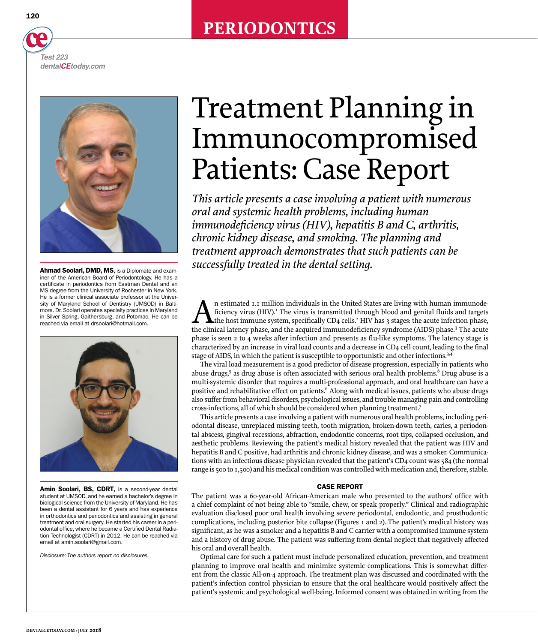# **PERIODONTICS**

120

*Test 223 dentalCEtoday.com*



iner of the American Board of Periodontology. He has a certificate in periodontics from Eastman Dental and an MS degree from the University of Rochester in New York. He is a former clinical associate professor at the University of Maryland School of Dentistry (UMSOD) in Baltimore. Dr. Soolari operates specialty practices in Maryland in Silver Spring, Gaithersburg, and Potomac. He can be reached via email at drsoolari@hotmail.com.



Amin Soolari, BS, CDRT, is a second-year dental student at UMSOD, and he earned a bachelor's degree in biological science from the University of Maryland. He has been a dental assistant for 6 years and has experience in orthodontics and periodontics and assisting in general treatment and oral surgery. He started his career in a periodontal office, where he became a Certified Dental Radiation Technologist (CDRT) in 2012. He can be reached via email at [amin.soolari@gmail.com.](mailto:amin.soolari@gmail.com)

*Disclosure: The authors report no disclosures.*

# Treatment Planning in Immunocompromised Patients: Case Report

*This article presents a case involving a patient with numerous oral and systemic health problems, including human immunodeficiency virus (HIV), hepatitis B and C, arthritis, chronic kidney disease, and smoking. The planning and treatment approach demonstrates that such patients can be*  **Ahmad Soolari, DMD, MS.** is a Diplomate and exam-<br>**SUCCESSfully treated in the dental setting.** 

> An estimated 1.1 million individuals in the United States are living with human immunodeficiency virus (HIV).<sup>I</sup> The virus is transmitted through blood and genital fluids and targets the host immune system, specifically CD4 cells.<sup>2</sup> HIV has 3 stages: the acute infection phase, the clinical latency phase, and the acquired immunodeficiency syndrome (AIDS) phase.<sup>3</sup> The acute phase is seen 2 to 4 weeks after infection and presents as flu-like symptoms. The latency stage is characterized by an increase in viral load counts and a decrease in CD4 cell count, leading to the final stage of AIDS, in which the patient is susceptible to opportunistic and other infections.<sup>3,4</sup>

> The viral load measurement is a good predictor of disease progression, especially in patients who abuse drugs,<sup>5</sup> as drug abuse is often associated with serious oral health problems.<sup>6</sup> Drug abuse is a multi-systemic disorder that requires a multi-professional approach, and oral healthcare can have a positive and rehabilitative effect on patients.<sup>6</sup> Along with medical issues, patients who abuse drugs also suffer from behavioral disorders, psychological issues, and trouble managing pain and controlling cross-infections, all of which should be considered when planning treatment.7

> This article presents a case involving a patient with numerous oral health problems, including periodontal disease, unreplaced missing teeth, tooth migration, broken-down teeth, caries, a periodontal abscess, gingival recessions, abfraction, endodontic concerns, root tips, collapsed occlusion, and aesthetic problems. Reviewing the patient's medical history revealed that the patient was HIV and hepatitis B and C positive, had arthritis and chronic kidney disease, and was a smoker. Communications with an infectious disease physician revealed that the patient's CD4 count was 584 (the normal range is 500 to 1,500) and his medical condition was controlled with medication and, therefore, stable.

# CASE REPORT

The patient was a 60-year-old African-American male who presented to the authors' office with a chief complaint of not being able to "smile, chew, or speak properly." Clinical and radiographic evaluation disclosed poor oral health involving severe periodontal, endodontic, and prosthodontic complications, including posterior bite collapse (Figures 1 and 2). The patient's medical history was significant, as he was a smoker and a hepatitis B and C carrier with a compromised immune system and a history of drug abuse. The patient was suffering from dental neglect that negatively affected his oral and overall health.

Optimal care for such a patient must include personalized education, prevention, and treatment planning to improve oral health and minimize systemic complications. This is somewhat different from the classic All-on-4 approach. The treatment plan was discussed and coordinated with the patient's infection control physician to ensure that the oral healthcare would positively affect the patient's systemic and psychological well-being. Informed consent was obtained in writing from the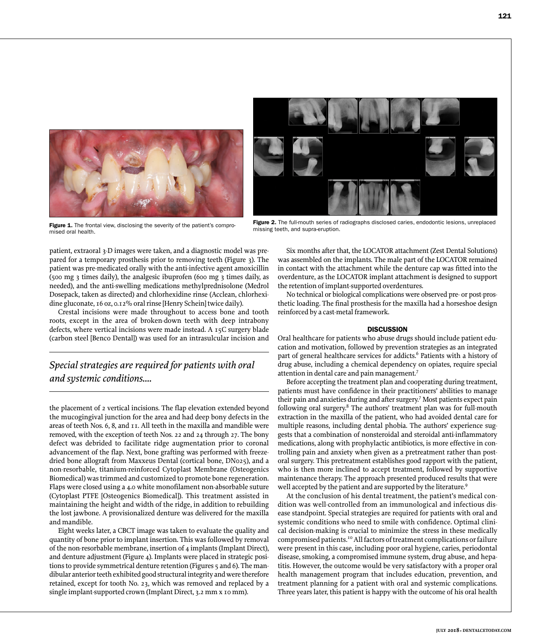



Figure 1. The frontal view, disclosing the severity of the patient's compromised oral health.

Figure 2. The full-mouth series of radiographs disclosed caries, endodontic lesions, unreplaced missing teeth, and supra-eruption.

patient, extraoral 3-D images were taken, and a diagnostic model was prepared for a temporary prosthesis prior to removing teeth (Figure 3). The patient was pre-medicated orally with the anti-infective agent amoxicillin (500 mg 3 times daily), the analgesic ibuprofen (600 mg 3 times daily, as needed), and the anti-swelling medications methylprednisolone (Medrol Dosepack, taken as directed) and chlorhexidine rinse (Acclean, chlorhexidine gluconate, 16 oz, 0.12% oral rinse [Henry Schein] twice daily).

Crestal incisions were made throughout to access bone and tooth roots, except in the area of broken-down teeth with deep intrabony defects, where vertical incisions were made instead. A 15C surgery blade (carbon steel [Benco Dental]) was used for an intrasulcular incision and

# *Special strategies are required for patients with oral and systemic conditions....*

the placement of 2 vertical incisions. The flap elevation extended beyond the mucogingival junction for the area and had deep bony defects in the areas of teeth Nos. 6, 8, and 11. All teeth in the maxilla and mandible were removed, with the exception of teeth Nos. 22 and 24 through 27. The bony defect was debrided to facilitate ridge augmentation prior to coronal advancement of the flap. Next, bone grafting was performed with freezedried bone allograft from Maxxeus Dental (cortical bone, DN025), and a non-resorbable, titanium-reinforced Cytoplast Membrane (Osteogenics Biomedical) was trimmed and customized to promote bone regeneration. Flaps were closed using a 4.0 white monofilament non-absorbable suture (Cytoplast PTFE [Osteogenics Biomedical]). This treatment assisted in maintaining the height and width of the ridge, in addition to rebuilding the lost jawbone. A provisionalized denture was delivered for the maxilla and mandible.

Eight weeks later, a CBCT image was taken to evaluate the quality and quantity of bone prior to implant insertion. This was followed by removal of the non-resorbable membrane, insertion of 4 implants (Implant Direct), and denture adjustment (Figure 4). Implants were placed in strategic positions to provide symmetrical denture retention (Figures 5 and 6). The mandibular anterior teeth exhibited good structural integrity and were therefore retained, except for tooth No. 23, which was removed and replaced by a single implant-supported crown (Implant Direct, 3.2 mm x 10 mm).

Six months after that, the LOCATOR attachment (Zest Dental Solutions) was assembled on the implants. The male part of the LOCATOR remained in contact with the attachment while the denture cap was fitted into the overdenture, as the LOCATOR implant attachment is designed to support the retention of implant-supported overdentures.

No technical or biological complications were observed pre- or post-prosthetic loading. The final prosthesis for the maxilla had a horseshoe design reinforced by a cast-metal framework.

## **DISCUSSION**

Oral healthcare for patients who abuse drugs should include patient education and motivation, followed by prevention strategies as an integrated part of general healthcare services for addicts.<sup>6</sup> Patients with a history of drug abuse, including a chemical dependency on opiates, require special attention in dental care and pain management.7

Before accepting the treatment plan and cooperating during treatment, patients must have confidence in their practitioners' abilities to manage their pain and anxieties during and after surgery.7 Most patients expect pain following oral surgery.<sup>8</sup> The authors' treatment plan was for full-mouth extraction in the maxilla of the patient, who had avoided dental care for multiple reasons, including dental phobia. The authors' experience suggests that a combination of nonsteroidal and steroidal anti-inflammatory medications, along with prophylactic antibiotics, is more effective in controlling pain and anxiety when given as a pretreatment rather than postoral surgery. This pretreatment establishes good rapport with the patient, who is then more inclined to accept treatment, followed by supportive maintenance therapy. The approach presented produced results that were well accepted by the patient and are supported by the literature.<sup>9</sup>

At the conclusion of his dental treatment, the patient's medical condition was well-controlled from an immunological and infectious disease standpoint. Special strategies are required for patients with oral and systemic conditions who need to smile with confidence. Optimal clinical decision-making is crucial to minimize the stress in these medically compromised patients.10 All factors of treatment complications or failure were present in this case, including poor oral hygiene, caries, periodontal disease, smoking, a compromised immune system, drug abuse, and hepatitis. However, the outcome would be very satisfactory with a proper oral health management program that includes education, prevention, and treatment planning for a patient with oral and systemic complications. Three years later, this patient is happy with the outcome of his oral health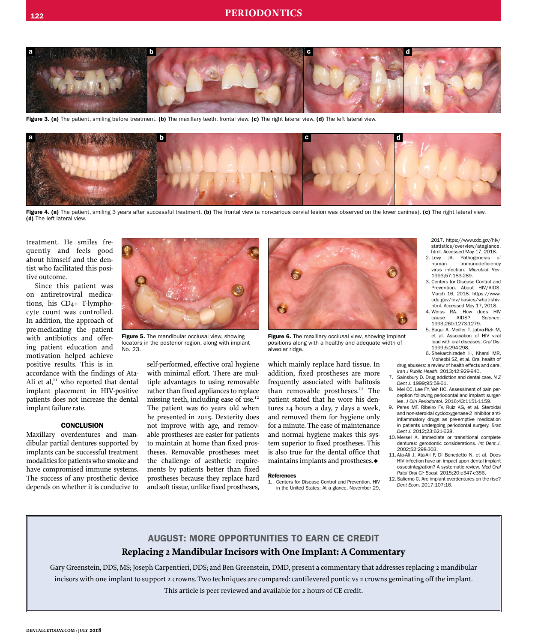

Figure 3. (a) The patient, smiling before treatment. (b) The maxillary teeth, frontal view. (c) The right lateral view. (d) The left lateral view.



Figure 4. (a) The patient, smiling 3 years after successful treatment. (b) The frontal view (a non-carious cervial lesion was observed on the lower canines). (c) The right lateral view. (d) The left lateral view.

treatment. He smiles frequently and feels good about himself and the dentist who facilitated this positive outcome.

Since this patient was on antiretroviral medications, his CD4+ T-lymphocyte count was controlled. In addition, the approach of pre-medicating the patient with antibiotics and offering patient education and motivation helped achieve positive results. This is in

accordance with the findings of Ata-Ali et al,<sup>11</sup> who reported that dental implant placement in HIV-positive patients does not increase the dental implant failure rate.

#### **CONCLUSION**

Maxillary overdentures and mandibular partial dentures supported by implants can be successful treatment modalities for patients who smoke and have compromised immune systems. The success of any prosthetic device depends on whether it is conducive to



Figure 5. The mandibular occlusal view, showing locators in the posterior region, along with implant No. 23.

self-performed, effective oral hygiene with minimal effort. There are multiple advantages to using removable rather than fixed appliances to replace missing teeth, including ease of use.<sup>12</sup> The patient was 60 years old when he presented in 2015. Dexterity does not improve with age, and removable prostheses are easier for patients to maintain at home than fixed prostheses. Removable prostheses meet the challenge of aesthetic requirements by patients better than fixed prostheses because they replace hard and soft tissue, unlike fixed prostheses,



Figure 6. The maxillary occlusal view, showing implant positions along with a healthy and adequate width of alveolar ridge.

which mainly replace hard tissue. In addition, fixed prostheses are more frequently associated with halitosis than removable prostheses.<sup>12</sup> The patient stated that he wore his dentures 24 hours a day, 7 days a week, and removed them for hygiene only for a minute. The ease of maintenance and normal hygiene makes this system superior to fixed prostheses. This is also true for the dental office that maintains implants and prostheses. $\blacklozenge$ 

#### References

1. Centers for Disease Control and Prevention. HIV in the United States: At a glance. November 29,

2017. https://www.cdc.gov/hiv/ statistics/overview/ataglance. html. Accessed May 17, 2018.<br>2. Lew JA. Pathogenesis

- Levy JA. Pathogenesis of<br>human immunodeficiency immunodeficiency virus infection. *Microbiol Rev*. 1993;57:183-289.
- 3. Centers for Disease Control and Prevention. About HIV/AIDS. March 16, 2018. https://www. cdc.gov/hiv/basics/whatishiv. html. Accessed May 17, 2018.
- 4. Weiss RA. How does HIV<br>cause AIDS? Science. cause AIDS? *Science*. 1993;260:1273-1279.
- 5. Baqui A, Meiller T, Jabra-Rizk M, et al. Association of HIV viral load with oral diseases. *Oral Dis*. 1999;5:294-298.

6. Shekarchizadeh H, Khami MR, Mohebbi SZ, et al. Oral health of drug abusers: a review of health effects and care.

- *Iran J Public Health*. 2013;42:929-940. 7. Sainsbury D. Drug addiction and dental care. *N Z Dent J*. 1999;95:58-61.
- 8. Mei CC, Lee FY, Yeh HC. Assessment of pain perception following periodontal and implant surgeries. *J Clin Periodontol*. 2016;43:1151-1159.
- 9. Peres MF, Ribeiro FV, Ruiz KG, et al. Steroidal and non-steroidal cyclooxygenase-2 inhibitor antiinflammatory drugs as pre-emptive medication in patients undergoing periodontal surgery. *Braz Dent J*. 2012;23:621-628.
- 10. Mersel A. Immediate or transitional complete dentures: gerodontic considerations. *Int Dent J*. 2002;52:298-303.
- 11. Ata-Ali J, Ata-Ali F, Di Benedetto N, et al. Does HIV infection have an impact upon dental implant osseointegration? A systematic review. *Med Oral Patol Oral Cir Bucal*. 2015;20:e347-e356.
- 12. Salierno C. Are implant overdentures on the rise? *Dent Econ*. 2017;107:16.

# AUGUST: MORE OPPORTUNITIES TO EARN CE CREDIT **Replacing 2 Mandibular Incisors with One Implant: A Commentary**

Gary Greenstein, DDS, MS; Joseph Carpentieri, DDS; and Ben Greenstein, DMD, present a commentary that addresses replacing 2 mandibular incisors with one implant to support 2 crowns. Two techniques are compared: cantilevered pontic vs 2 crowns geminating off the implant. This article is peer reviewed and available for 2 hours of CE credit.